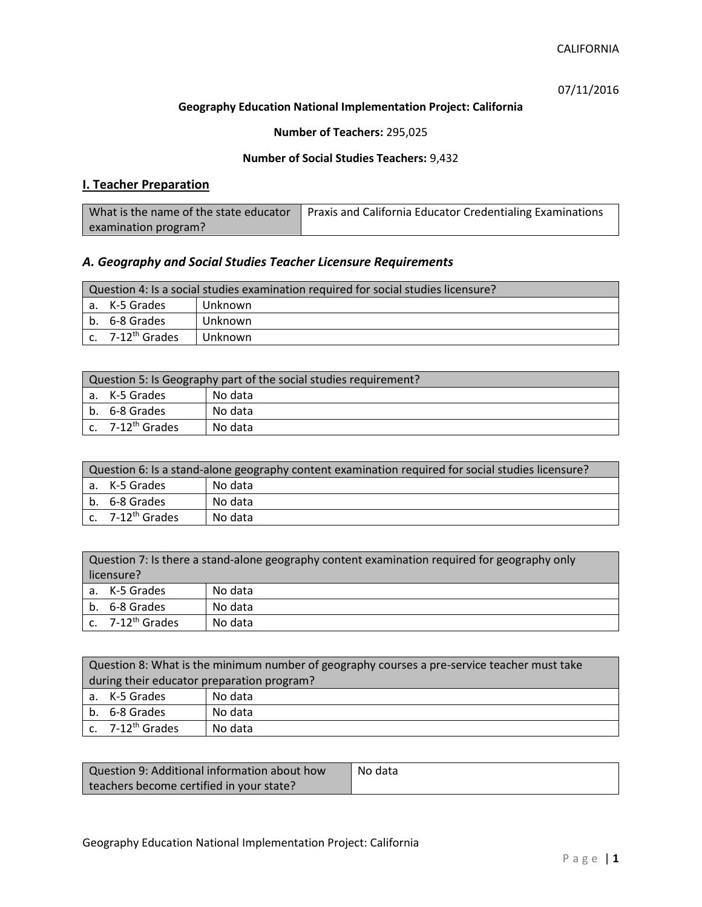### CALIFORNIA

07/11/2016

### **Geography Education National Implementation Project: California**

## **Number of Teachers:** 295,025

### **Number of Social Studies Teachers:** 9,432

## **I. Teacher Preparation**

| What is the name of the state educator | Praxis and California Educator Credentialing Examinations |
|----------------------------------------|-----------------------------------------------------------|
| examination program?                   |                                                           |

## *A. Geography and Social Studies Teacher Licensure Requirements*

| Question 4: Is a social studies examination required for social studies licensure? |                       |         |
|------------------------------------------------------------------------------------|-----------------------|---------|
|                                                                                    | a. K-5 Grades         | Unknown |
|                                                                                    | b. 6-8 Grades         | Unknown |
|                                                                                    | c. $7-12^{th}$ Grades | Unknown |

| Question 5: Is Geography part of the social studies requirement? |                              |         |
|------------------------------------------------------------------|------------------------------|---------|
|                                                                  | a. K-5 Grades                | No data |
|                                                                  | b. 6-8 Grades                | No data |
|                                                                  | c. 7-12 <sup>th</sup> Grades | No data |

| Question 6: Is a stand-alone geography content examination required for social studies licensure? |         |  |  |
|---------------------------------------------------------------------------------------------------|---------|--|--|
| a. K-5 Grades                                                                                     | No data |  |  |
| b. 6-8 Grades                                                                                     | No data |  |  |
| c. $7-12^{th}$ Grades                                                                             | No data |  |  |

|    | Question 7: Is there a stand-alone geography content examination required for geography only<br>licensure? |         |  |
|----|------------------------------------------------------------------------------------------------------------|---------|--|
|    |                                                                                                            |         |  |
|    | a. K-5 Grades                                                                                              | No data |  |
| b. | 6-8 Grades                                                                                                 | No data |  |
|    | c. 7-12 <sup>th</sup> Grades                                                                               | No data |  |

| Question 8: What is the minimum number of geography courses a pre-service teacher must take |         |  |
|---------------------------------------------------------------------------------------------|---------|--|
| during their educator preparation program?                                                  |         |  |
| a. K-5 Grades                                                                               | No data |  |
| b. 6-8 Grades                                                                               | No data |  |
| c. $7-12^{th}$ Grades                                                                       | No data |  |

| Question 9: Additional information about how | No data |
|----------------------------------------------|---------|
| teachers become certified in your state?     |         |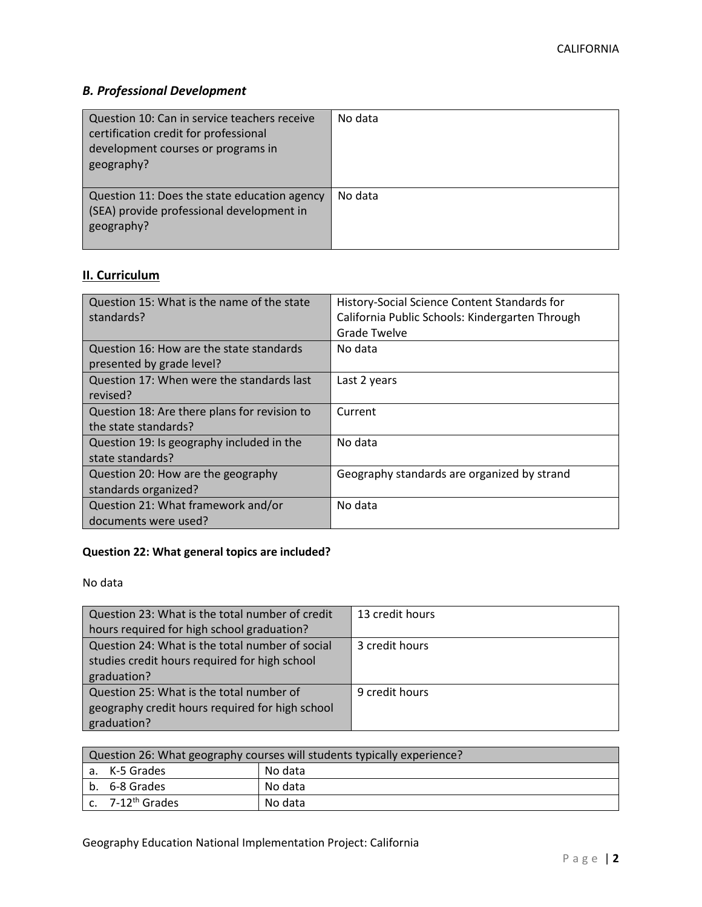# *B. Professional Development*

| Question 10: Can in service teachers receive<br>certification credit for professional<br>development courses or programs in<br>geography? | No data |
|-------------------------------------------------------------------------------------------------------------------------------------------|---------|
| Question 11: Does the state education agency<br>(SEA) provide professional development in<br>geography?                                   | No data |

# **II. Curriculum**

| Question 15: What is the name of the state<br>standards?              | History-Social Science Content Standards for<br>California Public Schools: Kindergarten Through<br><b>Grade Twelve</b> |
|-----------------------------------------------------------------------|------------------------------------------------------------------------------------------------------------------------|
| Question 16: How are the state standards<br>presented by grade level? | No data                                                                                                                |
| Question 17: When were the standards last<br>revised?                 | Last 2 years                                                                                                           |
| Question 18: Are there plans for revision to<br>the state standards?  | Current                                                                                                                |
| Question 19: Is geography included in the<br>state standards?         | No data                                                                                                                |
| Question 20: How are the geography<br>standards organized?            | Geography standards are organized by strand                                                                            |
| Question 21: What framework and/or<br>documents were used?            | No data                                                                                                                |

# **Question 22: What general topics are included?**

No data

| Question 23: What is the total number of credit | 13 credit hours |
|-------------------------------------------------|-----------------|
| hours required for high school graduation?      |                 |
| Question 24: What is the total number of social | 3 credit hours  |
| studies credit hours required for high school   |                 |
| graduation?                                     |                 |
| Question 25: What is the total number of        | 9 credit hours  |
| geography credit hours required for high school |                 |
| graduation?                                     |                 |

| Question 26: What geography courses will students typically experience? |         |  |  |
|-------------------------------------------------------------------------|---------|--|--|
| a. K-5 Grades                                                           | No data |  |  |
| b. 6-8 Grades                                                           | No data |  |  |
| $\mathsf{c}$ . 7-12 <sup>th</sup> Grades                                | No data |  |  |